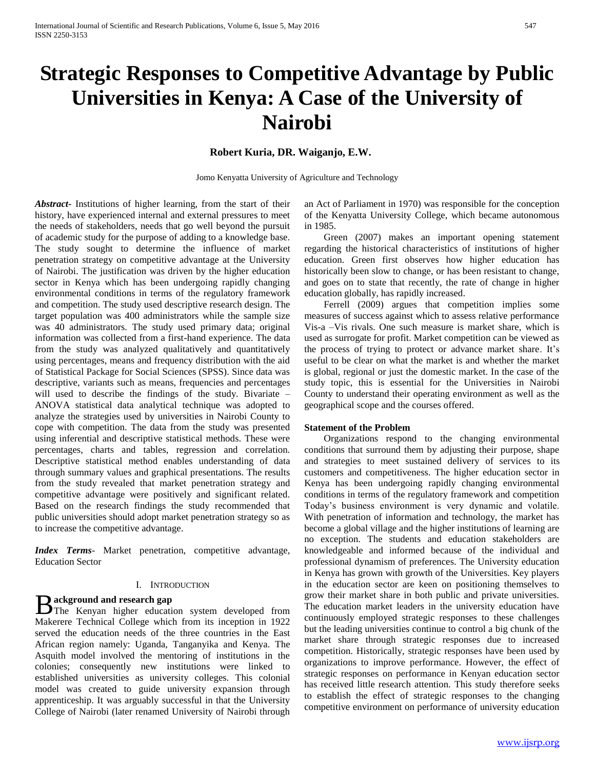# **Strategic Responses to Competitive Advantage by Public Universities in Kenya: A Case of the University of Nairobi**

## **Robert Kuria, DR. Waiganjo, E.W.**

Jomo Kenyatta University of Agriculture and Technology

*Abstract***-** Institutions of higher learning, from the start of their history, have experienced internal and external pressures to meet the needs of stakeholders, needs that go well beyond the pursuit of academic study for the purpose of adding to a knowledge base. The study sought to determine the influence of market penetration strategy on competitive advantage at the University of Nairobi. The justification was driven by the higher education sector in Kenya which has been undergoing rapidly changing environmental conditions in terms of the regulatory framework and competition. The study used descriptive research design. The target population was 400 administrators while the sample size was 40 administrators. The study used primary data; original information was collected from a first-hand experience. The data from the study was analyzed qualitatively and quantitatively using percentages, means and frequency distribution with the aid of Statistical Package for Social Sciences (SPSS). Since data was descriptive, variants such as means, frequencies and percentages will used to describe the findings of the study. Bivariate – ANOVA statistical data analytical technique was adopted to analyze the strategies used by universities in Nairobi County to cope with competition. The data from the study was presented using inferential and descriptive statistical methods. These were percentages, charts and tables, regression and correlation. Descriptive statistical method enables understanding of data through summary values and graphical presentations. The results from the study revealed that market penetration strategy and competitive advantage were positively and significant related. Based on the research findings the study recommended that public universities should adopt market penetration strategy so as to increase the competitive advantage.

*Index Terms*- Market penetration, competitive advantage, Education Sector

## I. INTRODUCTION

### **ackground and research gap**

**B** ackground and research gap<br>The Kenyan higher education system developed from Makerere Technical College which from its inception in 1922 served the education needs of the three countries in the East African region namely: Uganda, Tanganyika and Kenya. The Asquith model involved the mentoring of institutions in the colonies; consequently new institutions were linked to established universities as university colleges. This colonial model was created to guide university expansion through apprenticeship. It was arguably successful in that the University College of Nairobi (later renamed University of Nairobi through

an Act of Parliament in 1970) was responsible for the conception of the Kenyatta University College, which became autonomous in 1985.

 Green (2007) makes an important opening statement regarding the historical characteristics of institutions of higher education. Green first observes how higher education has historically been slow to change, or has been resistant to change, and goes on to state that recently, the rate of change in higher education globally, has rapidly increased.

 Ferrell (2009) argues that competition implies some measures of success against which to assess relative performance Vis-a –Vis rivals. One such measure is market share, which is used as surrogate for profit. Market competition can be viewed as the process of trying to protect or advance market share. It's useful to be clear on what the market is and whether the market is global, regional or just the domestic market. In the case of the study topic, this is essential for the Universities in Nairobi County to understand their operating environment as well as the geographical scope and the courses offered.

#### **Statement of the Problem**

 Organizations respond to the changing environmental conditions that surround them by adjusting their purpose, shape and strategies to meet sustained delivery of services to its customers and competitiveness. The higher education sector in Kenya has been undergoing rapidly changing environmental conditions in terms of the regulatory framework and competition Today's business environment is very dynamic and volatile. With penetration of information and technology, the market has become a global village and the higher institutions of learning are no exception. The students and education stakeholders are knowledgeable and informed because of the individual and professional dynamism of preferences. The University education in Kenya has grown with growth of the Universities. Key players in the education sector are keen on positioning themselves to grow their market share in both public and private universities. The education market leaders in the university education have continuously employed strategic responses to these challenges but the leading universities continue to control a big chunk of the market share through strategic responses due to increased competition. Historically, strategic responses have been used by organizations to improve performance. However, the effect of strategic responses on performance in Kenyan education sector has received little research attention. This study therefore seeks to establish the effect of strategic responses to the changing competitive environment on performance of university education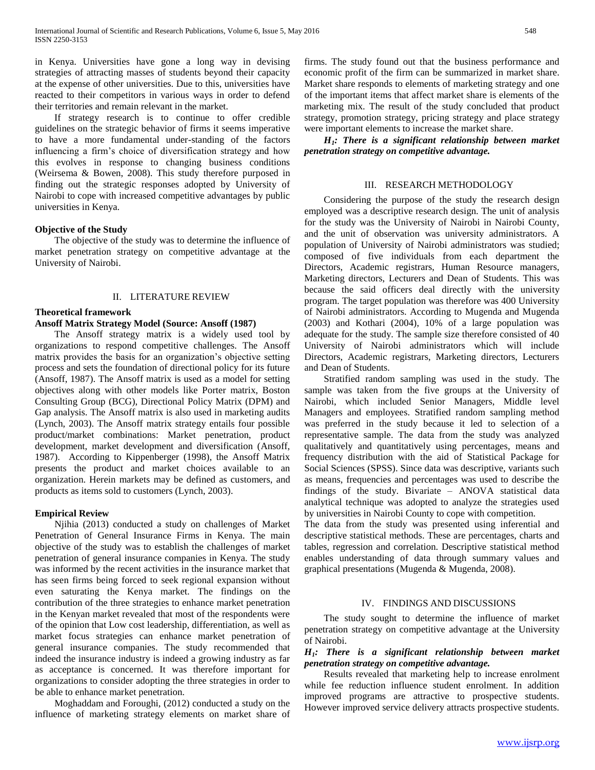in Kenya. Universities have gone a long way in devising strategies of attracting masses of students beyond their capacity at the expense of other universities. Due to this, universities have reacted to their competitors in various ways in order to defend their territories and remain relevant in the market.

 If strategy research is to continue to offer credible guidelines on the strategic behavior of firms it seems imperative to have a more fundamental under-standing of the factors influencing a firm's choice of diversification strategy and how this evolves in response to changing business conditions (Weirsema & Bowen, 2008). This study therefore purposed in finding out the strategic responses adopted by University of Nairobi to cope with increased competitive advantages by public universities in Kenya.

## **Objective of the Study**

 The objective of the study was to determine the influence of market penetration strategy on competitive advantage at the University of Nairobi.

## II. LITERATURE REVIEW

### **Theoretical framework**

#### **Ansoff Matrix Strategy Model (Source: Ansoff (1987)**

 The Ansoff strategy matrix is a widely used tool by organizations to respond competitive challenges. The Ansoff matrix provides the basis for an organization's objective setting process and sets the foundation of directional policy for its future (Ansoff, 1987). The Ansoff matrix is used as a model for setting objectives along with other models like Porter matrix, Boston Consulting Group (BCG), Directional Policy Matrix (DPM) and Gap analysis. The Ansoff matrix is also used in marketing audits (Lynch, 2003). The Ansoff matrix strategy entails four possible product/market combinations: Market penetration, product development, market development and diversification (Ansoff, 1987). According to Kippenberger (1998), the Ansoff Matrix presents the product and market choices available to an organization. Herein markets may be defined as customers, and products as items sold to customers (Lynch, 2003).

## **Empirical Review**

 Njihia (2013) conducted a study on challenges of Market Penetration of General Insurance Firms in Kenya. The main objective of the study was to establish the challenges of market penetration of general insurance companies in Kenya. The study was informed by the recent activities in the insurance market that has seen firms being forced to seek regional expansion without even saturating the Kenya market. The findings on the contribution of the three strategies to enhance market penetration in the Kenyan market revealed that most of the respondents were of the opinion that Low cost leadership, differentiation, as well as market focus strategies can enhance market penetration of general insurance companies. The study recommended that indeed the insurance industry is indeed a growing industry as far as acceptance is concerned. It was therefore important for organizations to consider adopting the three strategies in order to be able to enhance market penetration.

 Moghaddam and Foroughi, (2012) conducted a study on the influence of marketing strategy elements on market share of

firms. The study found out that the business performance and economic profit of the firm can be summarized in market share. Market share responds to elements of marketing strategy and one of the important items that affect market share is elements of the marketing mix. The result of the study concluded that product strategy, promotion strategy, pricing strategy and place strategy were important elements to increase the market share.

 *H1: There is a significant relationship between market penetration strategy on competitive advantage.*

#### III. RESEARCH METHODOLOGY

 Considering the purpose of the study the research design employed was a descriptive research design. The unit of analysis for the study was the University of Nairobi in Nairobi County, and the unit of observation was university administrators. A population of University of Nairobi administrators was studied; composed of five individuals from each department the Directors, Academic registrars, Human Resource managers, Marketing directors, Lecturers and Dean of Students. This was because the said officers deal directly with the university program. The target population was therefore was 400 University of Nairobi administrators. According to Mugenda and Mugenda (2003) and Kothari (2004), 10% of a large population was adequate for the study. The sample size therefore consisted of 40 University of Nairobi administrators which will include Directors, Academic registrars, Marketing directors, Lecturers and Dean of Students.

 Stratified random sampling was used in the study. The sample was taken from the five groups at the University of Nairobi, which included Senior Managers, Middle level Managers and employees. Stratified random sampling method was preferred in the study because it led to selection of a representative sample. The data from the study was analyzed qualitatively and quantitatively using percentages, means and frequency distribution with the aid of Statistical Package for Social Sciences (SPSS). Since data was descriptive, variants such as means, frequencies and percentages was used to describe the findings of the study. Bivariate – ANOVA statistical data analytical technique was adopted to analyze the strategies used by universities in Nairobi County to cope with competition.

The data from the study was presented using inferential and descriptive statistical methods. These are percentages, charts and tables, regression and correlation. Descriptive statistical method enables understanding of data through summary values and graphical presentations (Mugenda & Mugenda, 2008).

## IV. FINDINGS AND DISCUSSIONS

 The study sought to determine the influence of market penetration strategy on competitive advantage at the University of Nairobi.

## *H1: There is a significant relationship between market penetration strategy on competitive advantage.*

 Results revealed that marketing help to increase enrolment while fee reduction influence student enrolment. In addition improved programs are attractive to prospective students. However improved service delivery attracts prospective students.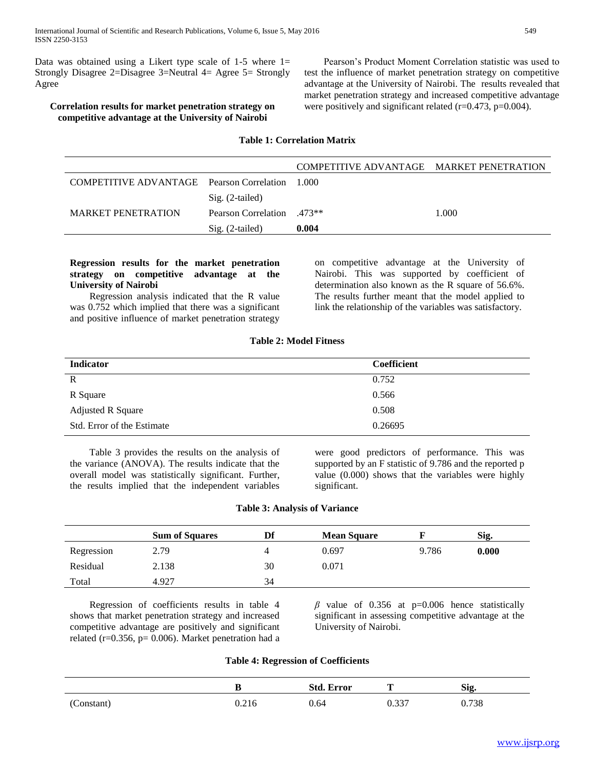Data was obtained using a Likert type scale of  $1-5$  where  $1=$ Strongly Disagree 2=Disagree 3=Neutral 4= Agree 5= Strongly Agree

# **Correlation results for market penetration strategy on competitive advantage at the University of Nairobi**

 Pearson's Product Moment Correlation statistic was used to test the influence of market penetration strategy on competitive advantage at the University of Nairobi. The results revealed that market penetration strategy and increased competitive advantage were positively and significant related (r=0.473, p=0.004).

#### **Table 1: Correlation Matrix**

|                                                 |                                              | COMPETITIVE ADVANTAGE MARKET PENETRATION |       |
|-------------------------------------------------|----------------------------------------------|------------------------------------------|-------|
| COMPETITIVE ADVANTAGE Pearson Correlation 1.000 |                                              |                                          |       |
|                                                 | $Sig. (2-tailed)$                            |                                          |       |
| <b>MARKET PENETRATION</b>                       | <b>Pearson Correlation</b> 473 <sup>**</sup> |                                          | 1.000 |
|                                                 | $Sig. (2-tailed)$                            | 0.004                                    |       |

## **Regression results for the market penetration strategy on competitive advantage at the University of Nairobi**

 Regression analysis indicated that the R value was 0.752 which implied that there was a significant and positive influence of market penetration strategy on competitive advantage at the University of Nairobi. This was supported by coefficient of determination also known as the R square of 56.6%. The results further meant that the model applied to link the relationship of the variables was satisfactory.

#### **Table 2: Model Fitness**

| <b>Indicator</b>           | <b>Coefficient</b> |
|----------------------------|--------------------|
| $\mathbf R$                | 0.752              |
| R Square                   | 0.566              |
| <b>Adjusted R Square</b>   | 0.508              |
| Std. Error of the Estimate | 0.26695            |

 Table 3 provides the results on the analysis of the variance (ANOVA). The results indicate that the overall model was statistically significant. Further, the results implied that the independent variables were good predictors of performance. This was supported by an F statistic of 9.786 and the reported p value (0.000) shows that the variables were highly significant.

|  |  |  |  |  |  | <b>Table 3: Analysis of Variance</b> |  |
|--|--|--|--|--|--|--------------------------------------|--|
|--|--|--|--|--|--|--------------------------------------|--|

|            | <b>Sum of Squares</b> | Df | <b>Mean Square</b> |       | Sig.  |
|------------|-----------------------|----|--------------------|-------|-------|
| Regression | 2.79                  |    | 0.697              | 9.786 | 0.000 |
| Residual   | 2.138                 | 30 | 0.071              |       |       |
| Total      | 4.927                 | 34 |                    |       |       |

 Regression of coefficients results in table 4 shows that market penetration strategy and increased competitive advantage are positively and significant related ( $r=0.356$ ,  $p= 0.006$ ). Market penetration had a  $\beta$  value of 0.356 at p=0.006 hence statistically significant in assessing competitive advantage at the University of Nairobi.

#### **Table 4: Regression of Coefficients**

|            | ш     | <b>Std. Error</b> | m<br>-        | Sig.  |
|------------|-------|-------------------|---------------|-------|
| (Constant) | J.216 | 0.64              | ገ 227<br>v.JJ | 0.738 |